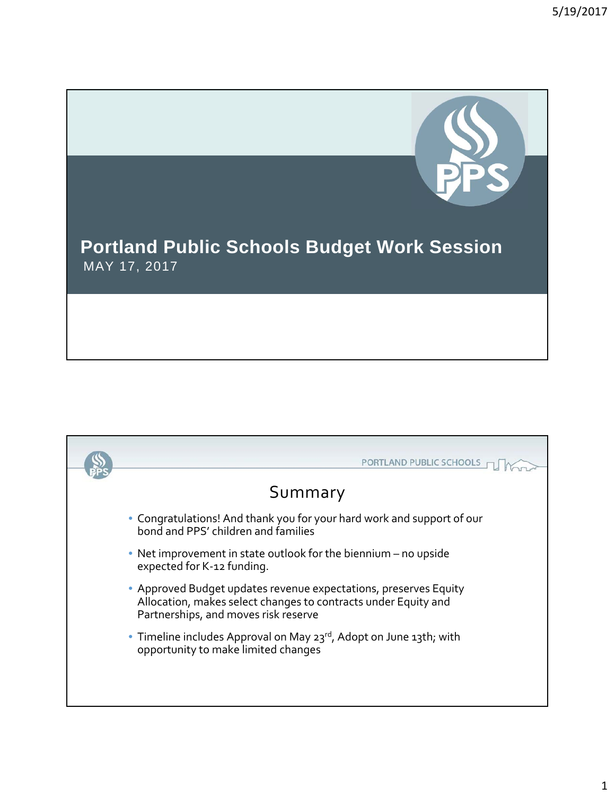

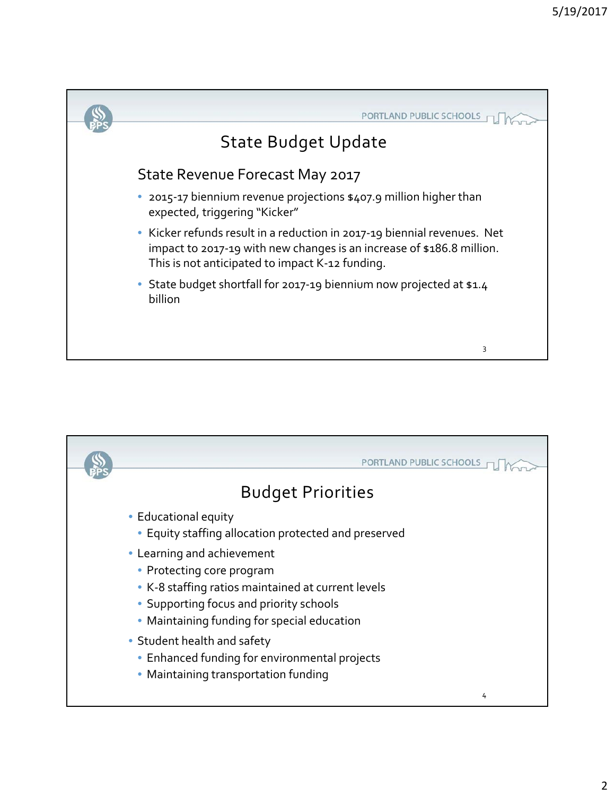

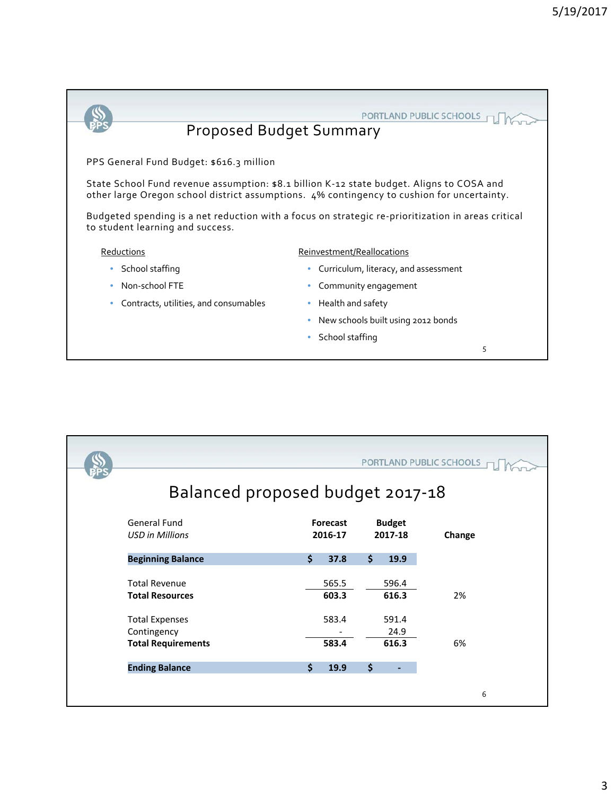

• School staffing

5

|  | PORTLAND PUBLIC SCHOOLS<br>Balanced proposed budget 2017-18 |                            |       |                          |       |        |
|--|-------------------------------------------------------------|----------------------------|-------|--------------------------|-------|--------|
|  |                                                             |                            |       |                          |       |        |
|  | General Fund<br><b>USD in Millions</b>                      | <b>Forecast</b><br>2016-17 |       | <b>Budget</b><br>2017-18 |       | Change |
|  | <b>Beginning Balance</b>                                    | \$                         | 37.8  | \$                       | 19.9  |        |
|  | <b>Total Revenue</b>                                        |                            | 565.5 |                          | 596.4 |        |
|  | <b>Total Resources</b>                                      |                            | 603.3 |                          | 616.3 | 2%     |
|  | <b>Total Expenses</b>                                       |                            | 583.4 |                          | 591.4 |        |
|  | Contingency                                                 |                            |       |                          | 24.9  |        |
|  | <b>Total Requirements</b>                                   |                            | 583.4 |                          | 616.3 | 6%     |
|  | <b>Ending Balance</b>                                       | $\mathsf{\hat{S}}$         | 19.9  | \$                       |       |        |
|  |                                                             |                            |       |                          |       |        |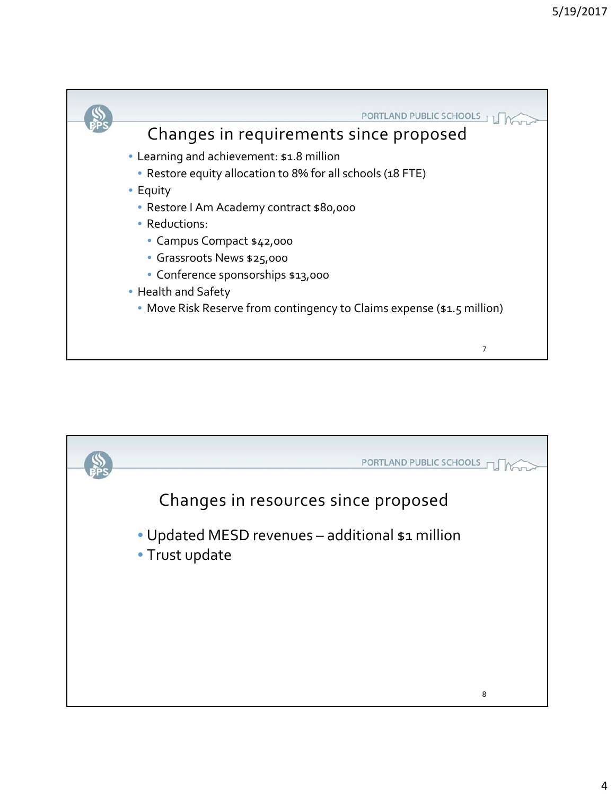